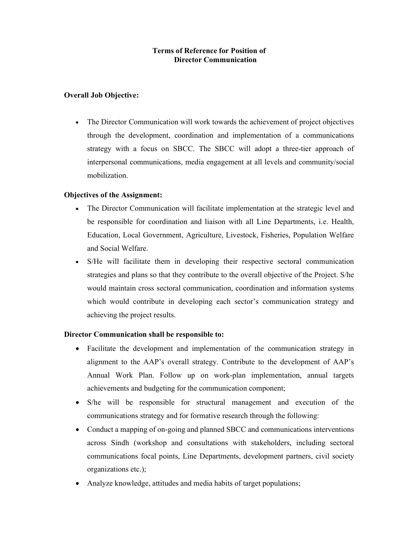# Terms of Reference for Position of Director Communication

## Overall Job Objective:

 The Director Communication will work towards the achievement of project objectives through the development, coordination and implementation of a communications strategy with a focus on SBCC. The SBCC will adopt a three-tier approach of interpersonal communications, media engagement at all levels and community/social mobilization.

## Objectives of the Assignment:

- The Director Communication will facilitate implementation at the strategic level and be responsible for coordination and liaison with all Line Departments, i.e. Health, Education, Local Government, Agriculture, Livestock, Fisheries, Population Welfare and Social Welfare.
- S/He will facilitate them in developing their respective sectoral communication strategies and plans so that they contribute to the overall objective of the Project. S/he would maintain cross sectoral communication, coordination and information systems which would contribute in developing each sector's communication strategy and achieving the project results.

# Director Communication shall be responsible to:

- Facilitate the development and implementation of the communication strategy in alignment to the AAP's overall strategy. Contribute to the development of AAP's Annual Work Plan. Follow up on work-plan implementation, annual targets achievements and budgeting for the communication component;
- S/he will be responsible for structural management and execution of the communications strategy and for formative research through the following:
- Conduct a mapping of on-going and planned SBCC and communications interventions across Sindh (workshop and consultations with stakeholders, including sectoral communications focal points, Line Departments, development partners, civil society organizations etc.);
- Analyze knowledge, attitudes and media habits of target populations;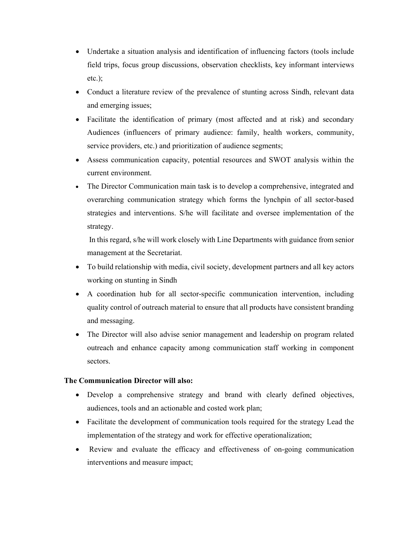- Undertake a situation analysis and identification of influencing factors (tools include field trips, focus group discussions, observation checklists, key informant interviews etc.);
- Conduct a literature review of the prevalence of stunting across Sindh, relevant data and emerging issues;
- Facilitate the identification of primary (most affected and at risk) and secondary Audiences (influencers of primary audience: family, health workers, community, service providers, etc.) and prioritization of audience segments;
- Assess communication capacity, potential resources and SWOT analysis within the current environment.
- The Director Communication main task is to develop a comprehensive, integrated and overarching communication strategy which forms the lynchpin of all sector-based strategies and interventions. S/he will facilitate and oversee implementation of the strategy.

 In this regard, s/he will work closely with Line Departments with guidance from senior management at the Secretariat.

- To build relationship with media, civil society, development partners and all key actors working on stunting in Sindh
- A coordination hub for all sector-specific communication intervention, including quality control of outreach material to ensure that all products have consistent branding and messaging.
- The Director will also advise senior management and leadership on program related outreach and enhance capacity among communication staff working in component sectors.

## The Communication Director will also:

- Develop a comprehensive strategy and brand with clearly defined objectives, audiences, tools and an actionable and costed work plan;
- Facilitate the development of communication tools required for the strategy Lead the implementation of the strategy and work for effective operationalization;
- Review and evaluate the efficacy and effectiveness of on-going communication interventions and measure impact;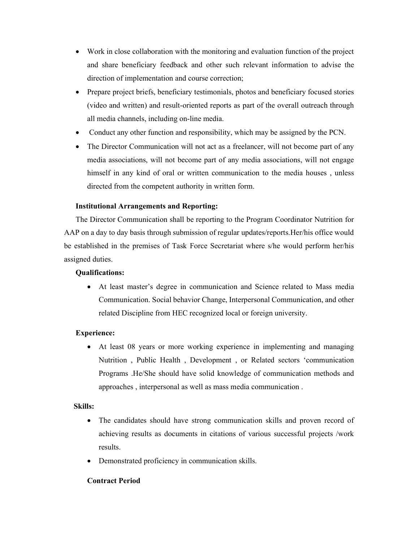- Work in close collaboration with the monitoring and evaluation function of the project and share beneficiary feedback and other such relevant information to advise the direction of implementation and course correction;
- Prepare project briefs, beneficiary testimonials, photos and beneficiary focused stories (video and written) and result-oriented reports as part of the overall outreach through all media channels, including on-line media.
- Conduct any other function and responsibility, which may be assigned by the PCN.
- The Director Communication will not act as a freelancer, will not become part of any media associations, will not become part of any media associations, will not engage himself in any kind of oral or written communication to the media houses , unless directed from the competent authority in written form.

## Institutional Arrangements and Reporting:

The Director Communication shall be reporting to the Program Coordinator Nutrition for AAP on a day to day basis through submission of regular updates/reports.Her/his office would be established in the premises of Task Force Secretariat where s/he would perform her/his assigned duties.

### Qualifications:

 At least master's degree in communication and Science related to Mass media Communication. Social behavior Change, Interpersonal Communication, and other related Discipline from HEC recognized local or foreign university.

### Experience:

 At least 08 years or more working experience in implementing and managing Nutrition , Public Health , Development , or Related sectors 'communication Programs .He/She should have solid knowledge of communication methods and approaches , interpersonal as well as mass media communication .

### Skills:

- The candidates should have strong communication skills and proven record of achieving results as documents in citations of various successful projects /work results.
- Demonstrated proficiency in communication skills.

### Contract Period